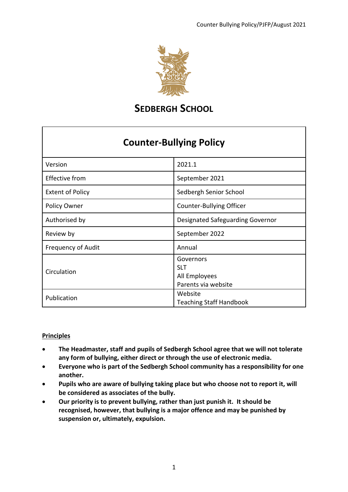

### **SEDBERGH SCHOOL**

### **Counter-Bullying Policy**

| Version                   | 2021.1                                                          |  |
|---------------------------|-----------------------------------------------------------------|--|
| Effective from            | September 2021                                                  |  |
| <b>Extent of Policy</b>   | Sedbergh Senior School                                          |  |
| Policy Owner              | <b>Counter-Bullying Officer</b>                                 |  |
| Authorised by             | Designated Safeguarding Governor                                |  |
| Review by                 | September 2022                                                  |  |
| <b>Frequency of Audit</b> | Annual                                                          |  |
| Circulation               | Governors<br><b>SLT</b><br>All Employees<br>Parents via website |  |
| Publication               | Website<br><b>Teaching Staff Handbook</b>                       |  |

#### **Principles**

- **The Headmaster, staff and pupils of Sedbergh School agree that we will not tolerate any form of bullying, either direct or through the use of electronic media.**
- **Everyone who is part of the Sedbergh School community has a responsibility for one another.**
- **Pupils who are aware of bullying taking place but who choose not to report it, will be considered as associates of the bully.**
- **Our priority is to prevent bullying, rather than just punish it. It should be recognised, however, that bullying is a major offence and may be punished by suspension or, ultimately, expulsion.**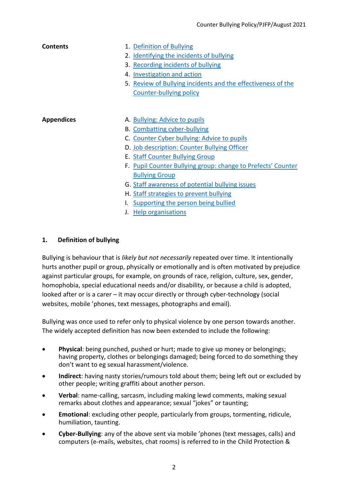| Contents          | 1. Definition of Bullying<br>2. Identifying the incidents of bullying<br>3. Recording incidents of bullying<br>4. Investigation and action<br>5. Review of Bullying incidents and the effectiveness of the<br><b>Counter-bullying policy</b>                                  |
|-------------------|-------------------------------------------------------------------------------------------------------------------------------------------------------------------------------------------------------------------------------------------------------------------------------|
| <b>Appendices</b> | A. Bullying: Advice to pupils<br><b>B.</b> Combatting cyber-bullying<br>C. Counter Cyber bullying: Advice to pupils<br>D. Job description: Counter Bullying Officer<br><b>E. Staff Counter Bullying Group</b><br>F. Pupil Counter Bullying group: change to Prefects' Counter |
|                   | <b>Bullying Group</b><br>G. Staff awareness of potential bullying issues<br>H. Staff strategies to prevent bullying<br>I. Supporting the person being bullied<br>J. Help organisations                                                                                        |

#### <span id="page-1-0"></span>**1. Definition of bullying**

Bullying is behaviour that is *likely but not necessarily* repeated over time. It intentionally hurts another pupil or group, physically or emotionally and is often motivated by prejudice against particular groups, for example, on grounds of race, religion, culture, sex, gender, homophobia, special educational needs and/or disability, or because a child is adopted, looked after or is a carer – it may occur directly or through cyber-technology (social websites, mobile 'phones, text messages, photographs and email).

Bullying was once used to refer only to physical violence by one person towards another. The widely accepted definition has now been extended to include the following:

- **Physical**: being punched, pushed or hurt; made to give up money or belongings; having property, clothes or belongings damaged; being forced to do something they don't want to eg sexual harassment/violence.
- **Indirect**: having nasty stories/rumours told about them; being left out or excluded by other people; writing graffiti about another person.
- **Verbal**: name-calling, sarcasm, including making lewd comments, making sexual remarks about clothes and appearance; sexual "jokes" or taunting;
- **Emotional**: excluding other people, particularly from groups, tormenting, ridicule, humiliation, taunting.
- **Cyber-Bullying**: any of the above sent via mobile 'phones (text messages, calls) and computers (e-mails, websites, chat rooms) is referred to in the Child Protection &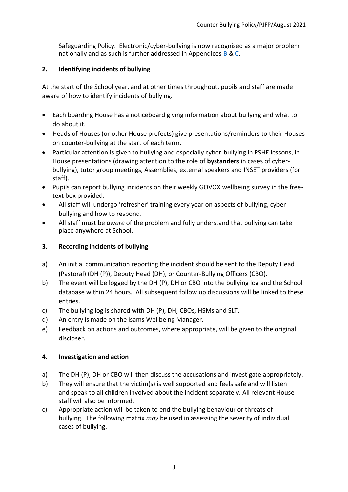Safeguarding Policy. Electronic/cyber-bullying is now recognised as a major problem nationally and as such is further addressed in Appendices [B](#page-7-0) & [C.](#page-9-0)

#### <span id="page-2-0"></span>**2. Identifying incidents of bullying**

At the start of the School year, and at other times throughout, pupils and staff are made aware of how to identify incidents of bullying.

- Each boarding House has a noticeboard giving information about bullying and what to do about it.
- Heads of Houses (or other House prefects) give presentations/reminders to their Houses on counter-bullying at the start of each term.
- Particular attention is given to bullying and especially cyber-bullying in PSHE lessons, in-House presentations (drawing attention to the role of **bystanders** in cases of cyberbullying), tutor group meetings, Assemblies, external speakers and INSET providers (for staff).
- Pupils can report bullying incidents on their weekly GOVOX wellbeing survey in the freetext box provided.
- All staff will undergo 'refresher' training every year on aspects of bullying, cyberbullying and how to respond.
- All staff must be *aware* of the problem and fully understand that bullying can take place anywhere at School.

#### <span id="page-2-1"></span>**3. Recording incidents of bullying**

- a) An initial communication reporting the incident should be sent to the Deputy Head (Pastoral) (DH (P)), Deputy Head (DH), or Counter-Bullying Officers (CBO).
- b) The event will be logged by the DH (P), DH or CBO into the bullying log and the School database within 24 hours. All subsequent follow up discussions will be linked to these entries.
- c) The bullying log is shared with DH (P), DH, CBOs, HSMs and SLT.
- d) An entry is made on the isams Wellbeing Manager.
- e) Feedback on actions and outcomes, where appropriate, will be given to the original discloser.

#### <span id="page-2-2"></span>**4. Investigation and action**

- a) The DH (P), DH or CBO will then discuss the accusations and investigate appropriately.
- b) They will ensure that the victim(s) is well supported and feels safe and will listen and speak to all children involved about the incident separately. All relevant House staff will also be informed.
- c) Appropriate action will be taken to end the bullying behaviour or threats of bullying. The following matrix *may* be used in assessing the severity of individual cases of bullying.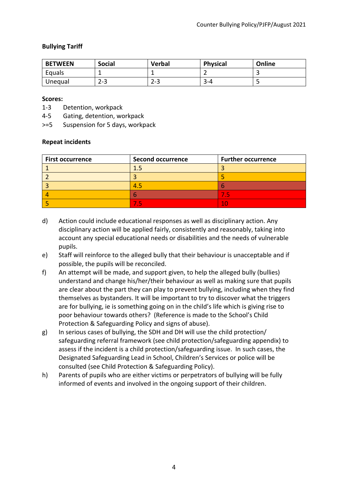#### **Bullying Tariff**

| <b>BETWEEN</b> | <b>Social</b> | <b>Verbal</b> | <b>Physical</b> | Online |
|----------------|---------------|---------------|-----------------|--------|
| Equals         |               |               | -               |        |
| Unequal        | ററ<br>د-∠     | $2 - 3$       | っ<br>$3 - 4$    |        |

#### **Scores:**

- 1-3 Detention, workpack
- 4-5 Gating, detention, workpack
- >=5 Suspension for 5 days, workpack

#### **Repeat incidents**

| <b>First occurrence</b> | <b>Second occurrence</b> | <b>Further occurrence</b> |
|-------------------------|--------------------------|---------------------------|
|                         |                          |                           |
|                         |                          |                           |
|                         |                          |                           |
|                         |                          |                           |
|                         |                          |                           |

- d) Action could include educational responses as well as disciplinary action. Any disciplinary action will be applied fairly, consistently and reasonably, taking into account any special educational needs or disabilities and the needs of vulnerable pupils.
- e) Staff will reinforce to the alleged bully that their behaviour is unacceptable and if possible, the pupils will be reconciled.
- f) An attempt will be made, and support given, to help the alleged bully (bullies) understand and change his/her/their behaviour as well as making sure that pupils are clear about the part they can play to prevent bullying, including when they find themselves as bystanders. It will be important to try to discover what the triggers are for bullying, ie is something going on in the child's life which is giving rise to poor behaviour towards others? (Reference is made to the School's Child Protection & Safeguarding Policy and signs of abuse).
- g) In serious cases of bullying, the SDH and DH will use the child protection/ safeguarding referral framework (see child protection/safeguarding appendix) to assess if the incident is a child protection/safeguarding issue. In such cases, the Designated Safeguarding Lead in School, Children's Services or police will be consulted (see Child Protection & Safeguarding Policy).
- h) Parents of pupils who are either victims or perpetrators of bullying will be fully informed of events and involved in the ongoing support of their children.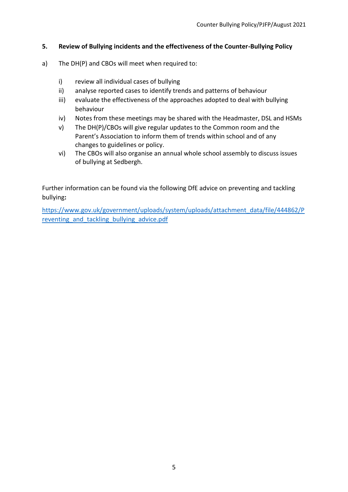#### <span id="page-4-0"></span>**5. Review of Bullying incidents and the effectiveness of the Counter-Bullying Policy**

- a) The DH(P) and CBOs will meet when required to:
	- i) review all individual cases of bullying
	- ii) analyse reported cases to identify trends and patterns of behaviour
	- iii) evaluate the effectiveness of the approaches adopted to deal with bullying behaviour
	- iv) Notes from these meetings may be shared with the Headmaster, DSL and HSMs
	- v) The DH(P)/CBOs will give regular updates to the Common room and the Parent's Association to inform them of trends within school and of any changes to guidelines or policy.
	- vi) The CBOs will also organise an annual whole school assembly to discuss issues of bullying at Sedbergh.

Further information can be found via the following DfE advice on preventing and tackling bullying**:** 

[https://www.gov.uk/government/uploads/system/uploads/attachment\\_data/file/444862/P](https://www.gov.uk/government/uploads/system/uploads/attachment_data/file/444862/Preventing_and_tackling_bullying_advice.pdf) reventing and tackling bullying advice.pdf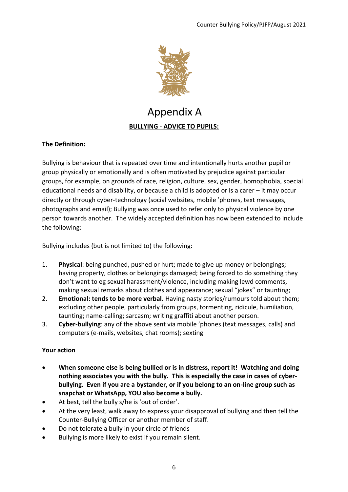

### Appendix A **BULLYING - ADVICE TO PUPILS:**

#### <span id="page-5-0"></span>**The Definition:**

Bullying is behaviour that is repeated over time and intentionally hurts another pupil or group physically or emotionally and is often motivated by prejudice against particular groups, for example, on grounds of race, religion, culture, sex, gender, homophobia, special educational needs and disability, or because a child is adopted or is a carer – it may occur directly or through cyber-technology (social websites, mobile 'phones, text messages, photographs and email); Bullying was once used to refer only to physical violence by one person towards another. The widely accepted definition has now been extended to include the following:

Bullying includes (but is not limited to) the following:

- 1. **Physical**: being punched, pushed or hurt; made to give up money or belongings; having property, clothes or belongings damaged; being forced to do something they don't want to eg sexual harassment/violence, including making lewd comments, making sexual remarks about clothes and appearance; sexual "jokes" or taunting;
- 2. **Emotional: tends to be more verbal.** Having nasty stories/rumours told about them; excluding other people, particularly from groups, tormenting, ridicule, humiliation, taunting; name-calling; sarcasm; writing graffiti about another person.
- 3. **Cyber-bullying**: any of the above sent via mobile 'phones (text messages, calls) and computers (e-mails, websites, chat rooms); sexting

#### **Your action**

- **When someone else is being bullied or is in distress, report it! Watching and doing nothing associates you with the bully. This is especially the case in cases of cyberbullying. Even if you are a bystander, or if you belong to an on-line group such as snapchat or WhatsApp, YOU also become a bully.**
- At best, tell the bully s/he is 'out of order'.
- At the very least, walk away to express your disapproval of bullying and then tell the Counter-Bullying Officer or another member of staff.
- Do not tolerate a bully in your circle of friends
- Bullying is more likely to exist if you remain silent.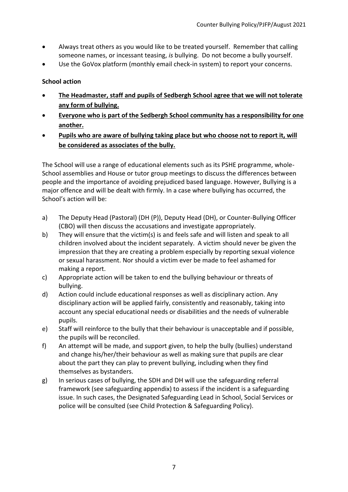- Always treat others as you would like to be treated yourself. Remember that calling someone names, or incessant teasing, *is* bullying. Do not become a bully yourself.
- Use the GoVox platform (monthly email check-in system) to report your concerns.

#### **School action**

- **The Headmaster, staff and pupils of Sedbergh School agree that we will not tolerate any form of bullying.**
- **Everyone who is part of the Sedbergh School community has a responsibility for one another.**
- **Pupils who are aware of bullying taking place but who choose not to report it, will be considered as associates of the bully.**

The School will use a range of educational elements such as its PSHE programme, whole-School assemblies and House or tutor group meetings to discuss the differences between people and the importance of avoiding prejudiced based language. However, Bullying is a major offence and will be dealt with firmly. In a case where bullying has occurred, the School's action will be:

- a) The Deputy Head (Pastoral) (DH (P)), Deputy Head (DH), or Counter-Bullying Officer (CBO) will then discuss the accusations and investigate appropriately.
- b) They will ensure that the victim(s) is and feels safe and will listen and speak to all children involved about the incident separately. A victim should never be given the impression that they are creating a problem especially by reporting sexual violence or sexual harassment. Nor should a victim ever be made to feel ashamed for making a report.
- c) Appropriate action will be taken to end the bullying behaviour or threats of bullying.
- d) Action could include educational responses as well as disciplinary action. Any disciplinary action will be applied fairly, consistently and reasonably, taking into account any special educational needs or disabilities and the needs of vulnerable pupils.
- e) Staff will reinforce to the bully that their behaviour is unacceptable and if possible, the pupils will be reconciled.
- f) An attempt will be made, and support given, to help the bully (bullies) understand and change his/her/their behaviour as well as making sure that pupils are clear about the part they can play to prevent bullying, including when they find themselves as bystanders.
- g) In serious cases of bullying, the SDH and DH will use the safeguarding referral framework (see safeguarding appendix) to assess if the incident is a safeguarding issue. In such cases, the Designated Safeguarding Lead in School, Social Services or police will be consulted (see Child Protection & Safeguarding Policy).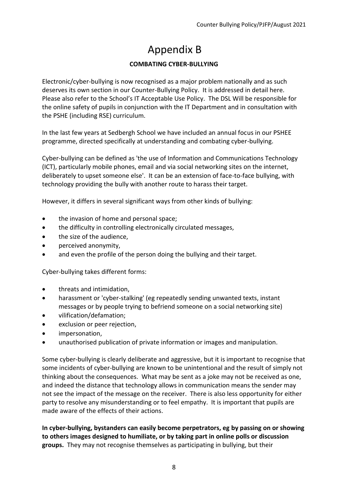# Appendix B

#### **COMBATING CYBER-BULLYING**

<span id="page-7-0"></span>Electronic/cyber-bullying is now recognised as a major problem nationally and as such deserves its own section in our Counter-Bullying Policy. It is addressed in detail here. Please also refer to the School's IT Acceptable Use Policy. The DSL Will be responsible for the online safety of pupils in conjunction with the IT Department and in consultation with the PSHE (including RSE) curriculum.

In the last few years at Sedbergh School we have included an annual focus in our PSHEE programme, directed specifically at understanding and combating cyber-bullying.

Cyber-bullying can be defined as 'the use of Information and Communications Technology (ICT), particularly mobile phones, email and via social networking sites on the internet, deliberately to upset someone else'. It can be an extension of face-to-face bullying, with technology providing the bully with another route to harass their target.

However, it differs in several significant ways from other kinds of bullying:

- the invasion of home and personal space;
- the difficulty in controlling electronically circulated messages,
- the size of the audience,
- perceived anonymity,
- and even the profile of the person doing the bullying and their target.

Cyber-bullying takes different forms:

- threats and intimidation,
- harassment or 'cyber-stalking' (eg repeatedly sending unwanted texts, instant messages or by people trying to befriend someone on a social networking site)
- vilification/defamation;
- exclusion or peer rejection,
- impersonation,
- unauthorised publication of private information or images and manipulation.

Some cyber-bullying is clearly deliberate and aggressive, but it is important to recognise that some incidents of cyber-bullying are known to be unintentional and the result of simply not thinking about the consequences. What may be sent as a joke may not be received as one, and indeed the distance that technology allows in communication means the sender may not see the impact of the message on the receiver. There is also less opportunity for either party to resolve any misunderstanding or to feel empathy. It is important that pupils are made aware of the effects of their actions.

**In cyber-bullying, bystanders can easily become perpetrators, eg by passing on or showing to others images designed to humiliate, or by taking part in online polls or discussion groups.** They may not recognise themselves as participating in bullying, but their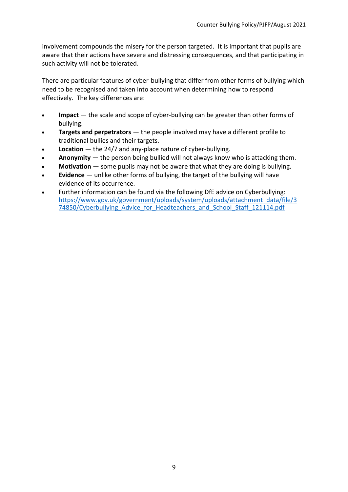involvement compounds the misery for the person targeted. It is important that pupils are aware that their actions have severe and distressing consequences, and that participating in such activity will not be tolerated.

There are particular features of cyber-bullying that differ from other forms of bullying which need to be recognised and taken into account when determining how to respond effectively. The key differences are:

- **Impact** the scale and scope of cyber-bullying can be greater than other forms of bullying.
- **Targets and perpetrators** the people involved may have a different profile to traditional bullies and their targets.
- **Location** the 24/7 and any-place nature of cyber-bullying.
- **Anonymity** the person being bullied will not always know who is attacking them.
- **Motivation** some pupils may not be aware that what they are doing is bullying.
- **Evidence** unlike other forms of bullying, the target of the bullying will have evidence of its occurrence.
- Further information can be found via the following DfE advice on Cyberbullying: [https://www.gov.uk/government/uploads/system/uploads/attachment\\_data/file/3](https://www.gov.uk/government/uploads/system/uploads/attachment_data/file/374850/Cyberbullying_Advice_for_Headteachers_and_School_Staff_121114.pdf) 74850/Cyberbullying Advice for Headteachers and School Staff 121114.pdf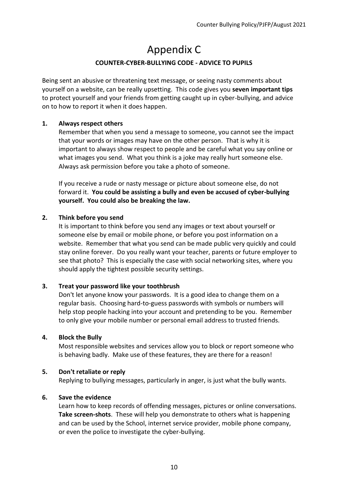### Appendix C

#### **COUNTER-CYBER-BULLYING CODE - ADVICE TO PUPILS**

<span id="page-9-0"></span>Being sent an abusive or threatening text message, or seeing nasty comments about yourself on a website, can be really upsetting. This code gives you **seven important tips** to protect yourself and your friends from getting caught up in cyber-bullying, and advice on to how to report it when it does happen.

#### **1. Always respect others**

 Remember that when you send a message to someone, you cannot see the impact that your words or images may have on the other person. That is why it is important to always show respect to people and be careful what you say online or what images you send. What you think is a joke may really hurt someone else. Always ask permission before you take a photo of someone.

 If you receive a rude or nasty message or picture about someone else, do not forward it. **You could be assisting a bully and even be accused of cyber-bullying yourself. You could also be breaking the law.** 

#### **2. Think before you send**

 It is important to think before you send any images or text about yourself or someone else by email or mobile phone, or before you post information on a website. Remember that what you send can be made public very quickly and could stay online forever. Do you really want your teacher, parents or future employer to see that photo? This is especially the case with social networking sites, where you should apply the tightest possible security settings.

#### **3. Treat your password like your toothbrush**

 Don't let anyone know your passwords. It is a good idea to change them on a regular basis. Choosing hard-to-guess passwords with symbols or numbers will help stop people hacking into your account and pretending to be you. Remember to only give your mobile number or personal email address to trusted friends.

#### **4. Block the Bully**

 Most responsible websites and services allow you to block or report someone who is behaving badly. Make use of these features, they are there for a reason!

#### **5. Don't retaliate or reply**

Replying to bullying messages, particularly in anger, is just what the bully wants.

#### **6. Save the evidence**

 Learn how to keep records of offending messages, pictures or online conversations. **Take screen-shots**. These will help you demonstrate to others what is happening and can be used by the School, internet service provider, mobile phone company, or even the police to investigate the cyber-bullying.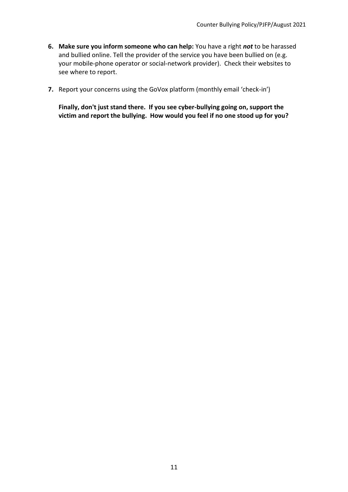- **6. Make sure you inform someone who can help:** You have a right *not* to be harassed and bullied online. Tell the provider of the service you have been bullied on (e.g. your mobile-phone operator or social-network provider). Check their websites to see where to report.
- **7.** Report your concerns using the GoVox platform (monthly email 'check-in')

<span id="page-10-0"></span> **Finally, don't just stand there. If you see cyber-bullying going on, support the victim and report the bullying. How would you feel if no one stood up for you?**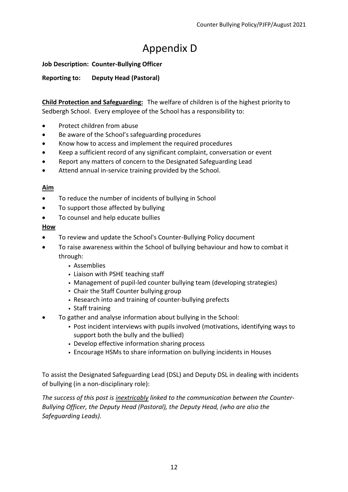# Appendix D

#### **Job Description: Counter-Bullying Officer**

**Reporting to: Deputy Head (Pastoral)** 

**Child Protection and Safeguarding:** The welfare of children is of the highest priority to Sedbergh School. Every employee of the School has a responsibility to:

- Protect children from abuse
- Be aware of the School's safeguarding procedures
- Know how to access and implement the required procedures
- Keep a sufficient record of any significant complaint, conversation or event
- Report any matters of concern to the Designated Safeguarding Lead
- Attend annual in-service training provided by the School.

#### **Aim**

- To reduce the number of incidents of bullying in School
- To support those affected by bullying
- To counsel and help educate bullies

#### **How**

- To review and update the School's Counter-Bullying Policy document
- To raise awareness within the School of bullying behaviour and how to combat it through:
	- Assemblies
	- Liaison with PSHE teaching staff
	- Management of pupil-led counter bullying team (developing strategies)
	- Chair the Staff Counter bullying group
	- Research into and training of counter-bullying prefects
	- Staff training
	- To gather and analyse information about bullying in the School:
		- Post incident interviews with pupils involved (motivations, identifying ways to support both the bully and the bullied)
		- Develop effective information sharing process
		- Encourage HSMs to share information on bullying incidents in Houses

To assist the Designated Safeguarding Lead (DSL) and Deputy DSL in dealing with incidents of bullying (in a non-disciplinary role):

*The success of this post is inextricably linked to the communication between the Counter-Bullying Officer, the Deputy Head (Pastoral), the Deputy Head, (who are also the Safeguarding Leads).*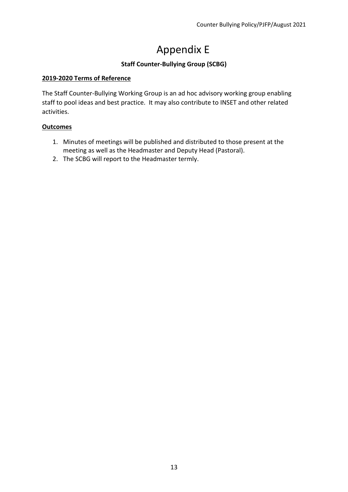# Appendix E

#### **Staff Counter-Bullying Group (SCBG)**

#### <span id="page-12-0"></span>**2019-2020 Terms of Reference**

The Staff Counter-Bullying Working Group is an ad hoc advisory working group enabling staff to pool ideas and best practice. It may also contribute to INSET and other related activities.

#### **Outcomes**

- 1. Minutes of meetings will be published and distributed to those present at the meeting as well as the Headmaster and Deputy Head (Pastoral).
- 2. The SCBG will report to the Headmaster termly.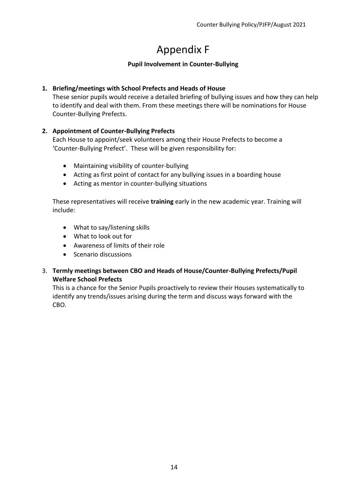## Appendix F

#### **Pupil Involvement in Counter-Bullying**

#### <span id="page-13-0"></span>**1. Briefing/meetings with School Prefects and Heads of House**

These senior pupils would receive a detailed briefing of bullying issues and how they can help to identify and deal with them. From these meetings there will be nominations for House Counter-Bullying Prefects.

#### **2. Appointment of Counter-Bullying Prefects**

Each House to appoint/seek volunteers among their House Prefects to become a 'Counter-Bullying Prefect'. These will be given responsibility for:

- Maintaining visibility of counter-bullying
- Acting as first point of contact for any bullying issues in a boarding house
- Acting as mentor in counter-bullying situations

These representatives will receive **training** early in the new academic year. Training will include:

- What to say/listening skills
- What to look out for
- Awareness of limits of their role
- Scenario discussions
- 3. **Termly meetings between CBO and Heads of House/Counter-Bullying Prefects/Pupil Welfare School Prefects**

This is a chance for the Senior Pupils proactively to review their Houses systematically to identify any trends/issues arising during the term and discuss ways forward with the CBO.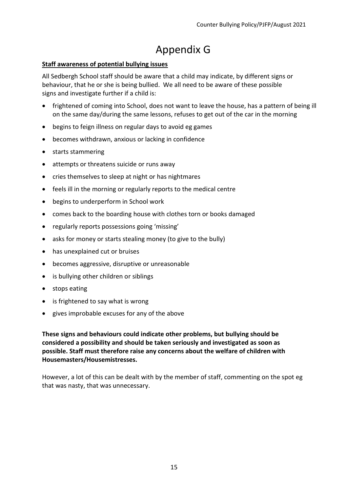### Appendix G

#### **Staff awareness of potential bullying issues**

All Sedbergh School staff should be aware that a child may indicate, by different signs or behaviour, that he or she is being bullied. We all need to be aware of these possible signs and investigate further if a child is:

- frightened of coming into School, does not want to leave the house, has a pattern of being ill on the same day/during the same lessons, refuses to get out of the car in the morning
- begins to feign illness on regular days to avoid eg games
- becomes withdrawn, anxious or lacking in confidence
- starts stammering
- attempts or threatens suicide or runs away
- cries themselves to sleep at night or has nightmares
- feels ill in the morning or regularly reports to the medical centre
- begins to underperform in School work
- comes back to the boarding house with clothes torn or books damaged
- regularly reports possessions going 'missing'
- asks for money or starts stealing money (to give to the bully)
- has unexplained cut or bruises
- becomes aggressive, disruptive or unreasonable
- is bullying other children or siblings
- stops eating
- is frightened to say what is wrong
- gives improbable excuses for any of the above

**These signs and behaviours could indicate other problems, but bullying should be considered a possibility and should be taken seriously and investigated as soon as possible. Staff must therefore raise any concerns about the welfare of children with Housemasters/Housemistresses.** 

However, a lot of this can be dealt with by the member of staff, commenting on the spot eg that was nasty, that was unnecessary.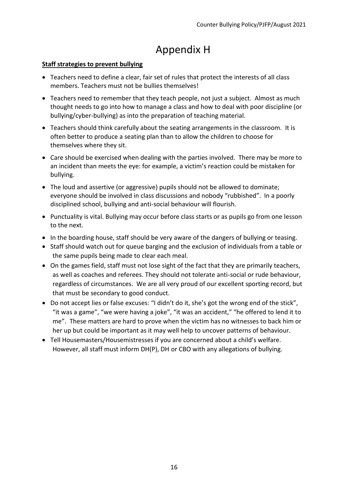### Appendix H

#### <span id="page-15-0"></span>**Staff strategies to prevent bullying**

- Teachers need to define a clear, fair set of rules that protect the interests of all class members. Teachers must not be bullies themselves!
- Teachers need to remember that they teach people, not just a subject. Almost as much thought needs to go into how to manage a class and how to deal with poor discipline (or bullying/cyber-bullying) as into the preparation of teaching material.
- Teachers should think carefully about the seating arrangements in the classroom. It is often better to produce a seating plan than to allow the children to choose for themselves where they sit.
- Care should be exercised when dealing with the parties involved. There may be more to an incident than meets the eye: for example, a victim's reaction could be mistaken for bullying.
- The loud and assertive (or aggressive) pupils should not be allowed to dominate; everyone should be involved in class discussions and nobody "rubbished". In a poorly disciplined school, bullying and anti-social behaviour will flourish.
- Punctuality is vital. Bullying may occur before class starts or as pupils go from one lesson to the next.
- In the boarding house, staff should be very aware of the dangers of bullying or teasing.
- Staff should watch out for queue barging and the exclusion of individuals from a table or the same pupils being made to clear each meal.
- On the games field, staff must not lose sight of the fact that they are primarily teachers, as well as coaches and referees. They should not tolerate anti-social or rude behaviour, regardless of circumstances. We are all very proud of our excellent sporting record, but that must be secondary to good conduct.
- Do not accept lies or false excuses: "I didn't do it, she's got the wrong end of the stick", "it was a game", "we were having a joke", "it was an accident," "he offered to lend it to me". These matters are hard to prove when the victim has no witnesses to back him or her up but could be important as it may well help to uncover patterns of behaviour.
- Tell Housemasters/Housemistresses if you are concerned about a child's welfare. However, all staff must inform DH(P), DH or CBO with any allegations of bullying.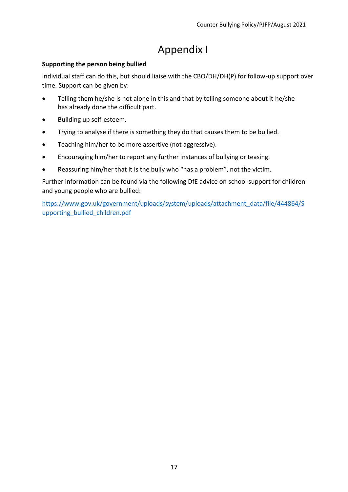### Appendix I

#### <span id="page-16-0"></span>**Supporting the person being bullied**

Individual staff can do this, but should liaise with the CBO/DH/DH(P) for follow-up support over time. Support can be given by:

- Telling them he/she is not alone in this and that by telling someone about it he/she has already done the difficult part.
- Building up self-esteem.
- Trying to analyse if there is something they do that causes them to be bullied.
- Teaching him/her to be more assertive (not aggressive).
- Encouraging him/her to report any further instances of bullying or teasing.
- Reassuring him/her that it is the bully who "has a problem", not the victim.

Further information can be found via the following DfE advice on school support for children and young people who are bullied:

[https://www.gov.uk/government/uploads/system/uploads/attachment\\_data/file/444864/S](https://www.gov.uk/government/uploads/system/uploads/attachment_data/file/444864/Supporting_bullied_children.pdf) [upporting\\_bullied\\_children.pdf](https://www.gov.uk/government/uploads/system/uploads/attachment_data/file/444864/Supporting_bullied_children.pdf)